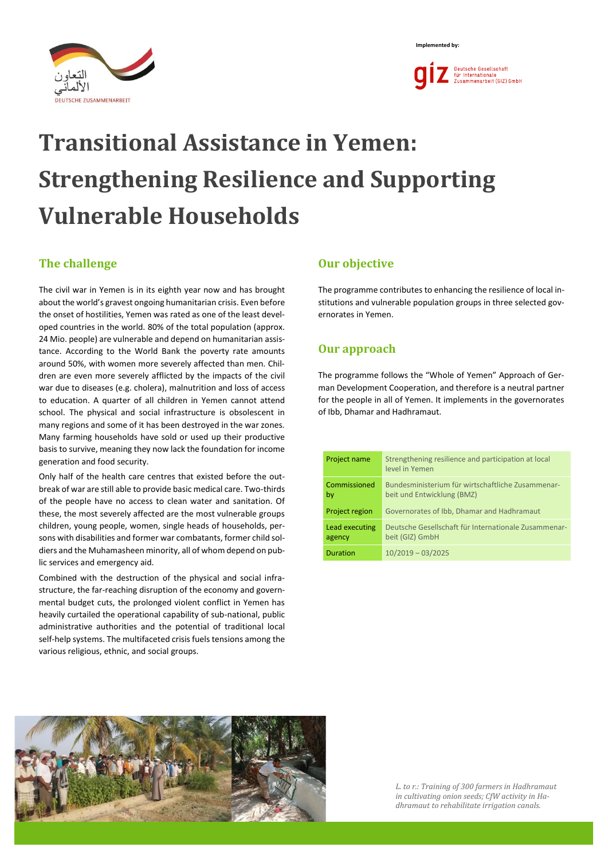



# **Transitional Assistance in Yemen: Strengthening Resilience and Supporting Vulnerable Households**

## **The challenge**

The civil war in Yemen is in its eighth year now and has brought about the world's gravest ongoing humanitarian crisis. Even before the onset of hostilities, Yemen was rated as one of the least developed countries in the world. 80% of the total population (approx. 24 Mio. people) are vulnerable and depend on humanitarian assistance. According to the World Bank the poverty rate amounts around 50%, with women more severely affected than men. Children are even more severely afflicted by the impacts of the civil war due to diseases (e.g. cholera), malnutrition and loss of access to education. A quarter of all children in Yemen cannot attend school. The physical and social infrastructure is obsolescent in many regions and some of it has been destroyed in the war zones. Many farming households have sold or used up their productive basis to survive, meaning they now lack the foundation for income generation and food security.

Only half of the health care centres that existed before the outbreak of war are still able to provide basic medical care. Two-thirds of the people have no access to clean water and sanitation. Of these, the most severely affected are the most vulnerable groups children, young people, women, single heads of households, persons with disabilities and former war combatants, former child soldiers and the Muhamasheen minority, all of whom depend on public services and emergency aid.

Combined with the destruction of the physical and social infrastructure, the far-reaching disruption of the economy and governmental budget cuts, the prolonged violent conflict in Yemen has heavily curtailed the operational capability of sub-national, public administrative authorities and the potential of traditional local self-help systems. The multifaceted crisis fuels tensions among the various religious, ethnic, and social groups.

## **Our objective**

The programme contributes to enhancing the resilience of local institutions and vulnerable population groups in three selected governorates in Yemen.

## **Our approach**

The programme follows the "Whole of Yemen" Approach of German Development Cooperation, and therefore is a neutral partner for the people in all of Yemen. It implements in the governorates of Ibb, Dhamar and Hadhramaut.

| Project name             | Strengthening resilience and participation at local<br>level in Yemen           |
|--------------------------|---------------------------------------------------------------------------------|
| Commissioned<br>by       | Bundesministerium für wirtschaftliche Zusammenar-<br>beit und Entwicklung (BMZ) |
| Project region           | Governorates of Ibb, Dhamar and Hadhramaut                                      |
| Lead executing<br>agency | Deutsche Gesellschaft für Internationale Zusammenar-<br>beit (GIZ) GmbH         |
| Duration                 | $10/2019 - 03/2025$                                                             |



*L. to r.: Training of 300 farmers in Hadhramaut in cultivating onion seeds; CfW activity in Hadhramaut to rehabilitate irrigation canals.*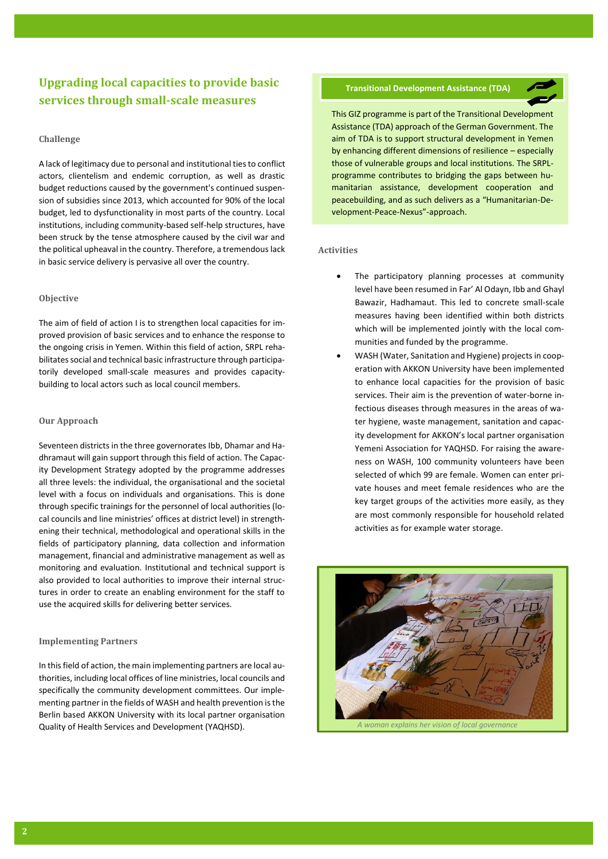## **Upgrading local capacities to provide basic services through small-scale measures**

#### **Challenge**

A lack of legitimacy due to personal and institutional ties to conflict actors, clientelism and endemic corruption, as well as drastic budget reductions caused by the government's continued suspension of subsidies since 2013, which accounted for 90% of the local budget, led to dysfunctionality in most parts of the country. Local institutions, including community-based self-help structures, have been struck by the tense atmosphere caused by the civil war and the political upheaval in the country. Therefore, a tremendous lack in basic service delivery is pervasive all over the country.

#### **Objective**

The aim of field of action I is to strengthen local capacities for improved provision of basic services and to enhance the response to the ongoing crisis in Yemen. Within this field of action, SRPL rehabilitates social and technical basic infrastructure through participatorily developed small-scale measures and provides capacitybuilding to local actors such as local council members.

#### **Our Approach**

Seventeen districts in the three governorates Ibb, Dhamar and Hadhramaut will gain support through this field of action. The Capacity Development Strategy adopted by the programme addresses all three levels: the individual, the organisational and the societal level with a focus on individuals and organisations. This is done through specific trainings for the personnel of local authorities (local councils and line ministries' offices at district level) in strengthening their technical, methodological and operational skills in the fields of participatory planning, data collection and information management, financial and administrative management as well as monitoring and evaluation. Institutional and technical support is also provided to local authorities to improve their internal structures in order to create an enabling environment for the staff to use the acquired skills for delivering better services.

#### **Implementing Partners**

In this field of action, the main implementing partners are local authorities, including local offices of line ministries, local councils and specifically the community development committees. Our implementing partner in the fields of WASH and health prevention is the Berlin based AKKON University with its local partner organisation Quality of Health Services and Development (YAQHSD).

#### **Transitional Development Assistance (TDA)**



This GIZ programme is part of the Transitional Development Assistance (TDA) approach of the German Government. The aim of TDA is to support structural development in Yemen by enhancing different dimensions of resilience – especially those of vulnerable groups and local institutions. The SRPLprogramme contributes to bridging the gaps between humanitarian assistance, development cooperation and peacebuilding, and as such delivers as a "Humanitarian-Development-Peace-Nexus"-approach.

#### **Activities**

- The participatory planning processes at community level have been resumed in Far' Al Odayn, Ibb and Ghayl Bawazir, Hadhamaut. This led to concrete small-scale measures having been identified within both districts which will be implemented jointly with the local communities and funded by the programme.
- WASH (Water, Sanitation and Hygiene) projects in cooperation with AKKON University have been implemented to enhance local capacities for the provision of basic services. Their aim is the prevention of water-borne infectious diseases through measures in the areas of water hygiene, waste management, sanitation and capacity development for AKKON's local partner organisation Yemeni Association for YAQHSD. For raising the awareness on WASH, 100 community volunteers have been selected of which 99 are female. Women can enter private houses and meet female residences who are the key target groups of the activities more easily, as they are most commonly responsible for household related activities as for example water storage.

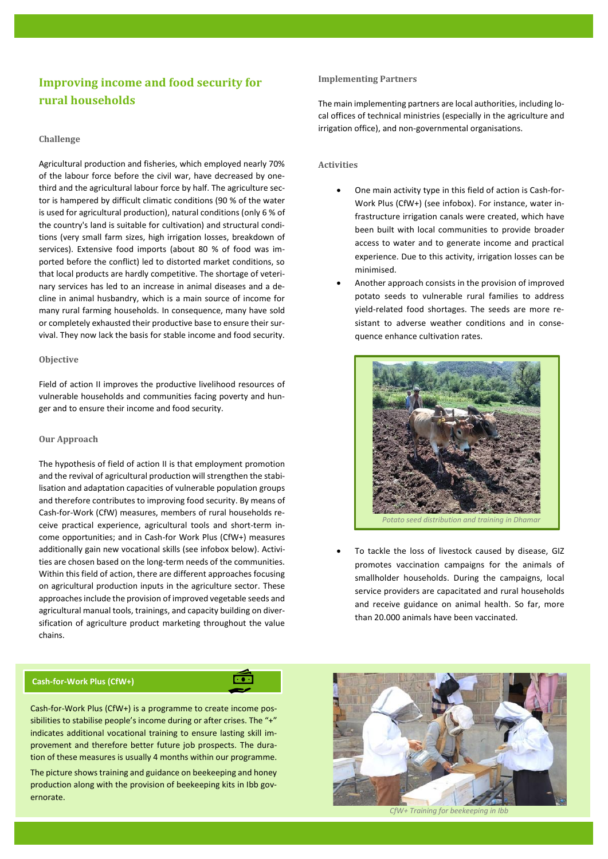## **Improving income and food security for rural households**

#### **Challenge**

Agricultural production and fisheries, which employed nearly 70% of the labour force before the civil war, have decreased by onethird and the agricultural labour force by half. The agriculture sector is hampered by difficult climatic conditions (90 % of the water is used for agricultural production), natural conditions (only 6 % of the country's land is suitable for cultivation) and structural conditions (very small farm sizes, high irrigation losses, breakdown of services). Extensive food imports (about 80 % of food was imported before the conflict) led to distorted market conditions, so that local products are hardly competitive. The shortage of veterinary services has led to an increase in animal diseases and a decline in animal husbandry, which is a main source of income for many rural farming households. In consequence, many have sold or completely exhausted their productive base to ensure their survival. They now lack the basis for stable income and food security.

#### **Objective**

Field of action II improves the productive livelihood resources of vulnerable households and communities facing poverty and hunger and to ensure their income and food security.

#### **Our Approach**

The hypothesis of field of action II is that employment promotion and the revival of agricultural production will strengthen the stabilisation and adaptation capacities of vulnerable population groups and therefore contributes to improving food security. By means of Cash-for-Work (CfW) measures, members of rural households receive practical experience, agricultural tools and short-term income opportunities; and in Cash-for Work Plus (CfW+) measures additionally gain new vocational skills (see infobox below). Activities are chosen based on the long-term needs of the communities. Within this field of action, there are different approaches focusing on agricultural production inputs in the agriculture sector. These approaches include the provision of improved vegetable seeds and agricultural manual tools, trainings, and capacity building on diversification of agriculture product marketing throughout the value chains.

#### **Cash-for-Work Plus (CfW+)**

Cash-for-Work Plus (CfW+) is a programme to create income possibilities to stabilise people's income during or after crises. The "+" indicates additional vocational training to ensure lasting skill improvement and therefore better future job prospects. The duration of these measures is usually 4 months within our programme.

 $\overline{1}$ .

The picture shows training and guidance on beekeeping and honey production along with the provision of beekeeping kits in Ibb governorate.

#### **Implementing Partners**

The main implementing partners are local authorities, including local offices of technical ministries (especially in the agriculture and irrigation office), and non-governmental organisations.

#### **Activities**

- One main activity type in this field of action is Cash-for-Work Plus (CfW+) (see infobox). For instance, water infrastructure irrigation canals were created, which have been built with local communities to provide broader access to water and to generate income and practical experience. Due to this activity, irrigation losses can be minimised.
- Another approach consists in the provision of improved potato seeds to vulnerable rural families to address yield-related food shortages. The seeds are more resistant to adverse weather conditions and in consequence enhance cultivation rates.



To tackle the loss of livestock caused by disease, GIZ promotes vaccination campaigns for the animals of smallholder households. During the campaigns, local service providers are capacitated and rural households and receive guidance on animal health. So far, more than 20.000 animals have been vaccinated.

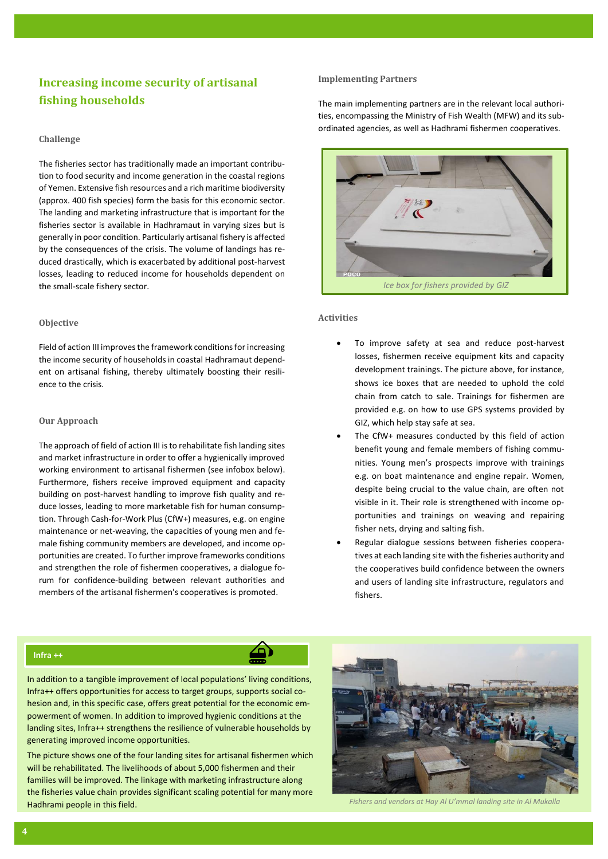## **Increasing income security of artisanal fishing households**

#### **Challenge**

The fisheries sector has traditionally made an important contribution to food security and income generation in the coastal regions of Yemen. Extensive fish resources and a rich maritime biodiversity (approx. 400 fish species) form the basis for this economic sector. The landing and marketing infrastructure that is important for the fisheries sector is available in Hadhramaut in varying sizes but is generally in poor condition. Particularly artisanal fishery is affected by the consequences of the crisis. The volume of landings has reduced drastically, which is exacerbated by additional post-harvest losses, leading to reduced income for households dependent on the small-scale fishery sector.

#### **Objective**

Field of action III improvesthe framework conditions for increasing the income security of households in coastal Hadhramaut dependent on artisanal fishing, thereby ultimately boosting their resilience to the crisis.

#### **Our Approach**

The approach of field of action III is to rehabilitate fish landing sites and market infrastructure in order to offer a hygienically improved working environment to artisanal fishermen (see infobox below). Furthermore, fishers receive improved equipment and capacity building on post-harvest handling to improve fish quality and reduce losses, leading to more marketable fish for human consumption. Through Cash-for-Work Plus (CfW+) measures, e.g. on engine maintenance or net-weaving, the capacities of young men and female fishing community members are developed, and income opportunities are created. To further improve frameworks conditions and strengthen the role of fishermen cooperatives, a dialogue forum for confidence-building between relevant authorities and members of the artisanal fishermen's cooperatives is promoted.

#### **Implementing Partners**

The main implementing partners are in the relevant local authorities, encompassing the Ministry of Fish Wealth (MFW) and its subordinated agencies, as well as Hadhrami fishermen cooperatives.



#### **Activities**

- To improve safety at sea and reduce post-harvest losses, fishermen receive equipment kits and capacity development trainings. The picture above, for instance, shows ice boxes that are needed to uphold the cold chain from catch to sale. Trainings for fishermen are provided e.g. on how to use GPS systems provided by GIZ, which help stay safe at sea.
- The CfW+ measures conducted by this field of action benefit young and female members of fishing communities. Young men's prospects improve with trainings e.g. on boat maintenance and engine repair. Women, despite being crucial to the value chain, are often not visible in it. Their role is strengthened with income opportunities and trainings on weaving and repairing fisher nets, drying and salting fish.
- Regular dialogue sessions between fisheries cooperatives at each landing site with the fisheries authority and the cooperatives build confidence between the owners and users of landing site infrastructure, regulators and fishers.

#### **Infra ++**

In addition to a tangible improvement of local populations' living conditions, Infra++ offers opportunities for access to target groups, supports social cohesion and, in this specific case, offers great potential for the economic empowerment of women. In addition to improved hygienic conditions at the landing sites, Infra++ strengthens the resilience of vulnerable households by generating improved income opportunities.

The picture shows one of the four landing sites for artisanal fishermen which will be rehabilitated. The livelihoods of about 5,000 fishermen and their families will be improved. The linkage with marketing infrastructure along the fisheries value chain provides significant scaling potential for many more Hadhrami people in this field. *Fishers and vendors at Hay Al U'mmal landing site in Al Mukalla*

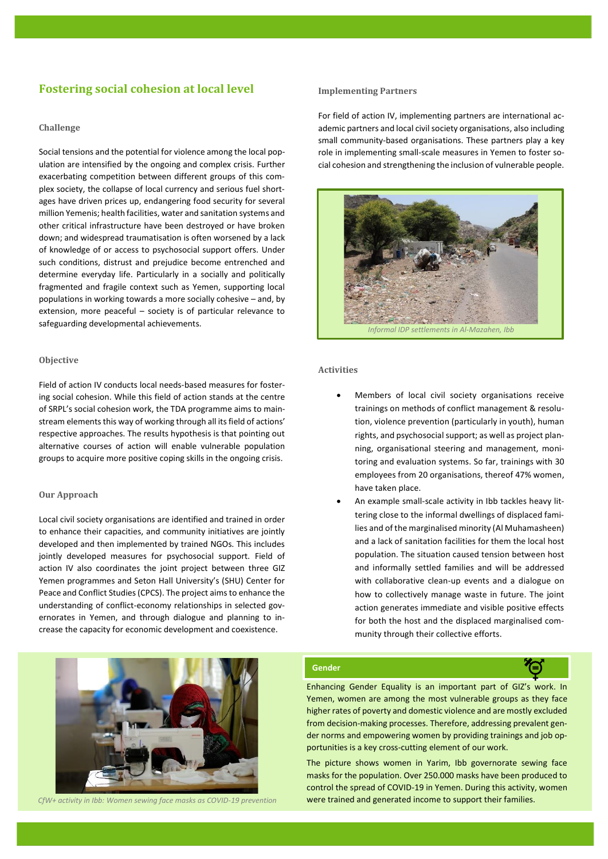## **Fostering social cohesion at local level**

#### **Challenge**

Social tensions and the potential for violence among the local population are intensified by the ongoing and complex crisis. Further exacerbating competition between different groups of this complex society, the collapse of local currency and serious fuel shortages have driven prices up, endangering food security for several million Yemenis; health facilities, water and sanitation systems and other critical infrastructure have been destroyed or have broken down; and widespread traumatisation is often worsened by a lack of knowledge of or access to psychosocial support offers. Under such conditions, distrust and prejudice become entrenched and determine everyday life. Particularly in a socially and politically fragmented and fragile context such as Yemen, supporting local populations in working towards a more socially cohesive – and, by extension, more peaceful – society is of particular relevance to safeguarding developmental achievements.

#### **Objective**

Field of action IV conducts local needs-based measures for fostering social cohesion. While this field of action stands at the centre of SRPL's social cohesion work, the TDA programme aims to mainstream elements this way of working through all its field of actions' respective approaches. The results hypothesis is that pointing out alternative courses of action will enable vulnerable population groups to acquire more positive coping skills in the ongoing crisis.

#### **Our Approach**

Local civil society organisations are identified and trained in order to enhance their capacities, and community initiatives are jointly developed and then implemented by trained NGOs. This includes jointly developed measures for psychosocial support. Field of action IV also coordinates the joint project between three GIZ Yemen programmes and Seton Hall University's (SHU) Center for Peace and Conflict Studies (CPCS). The project aims to enhance the understanding of conflict-economy relationships in selected governorates in Yemen, and through dialogue and planning to increase the capacity for economic development and coexistence.

#### **Implementing Partners**

For field of action IV, implementing partners are international academic partners and local civil society organisations, also including small community-based organisations. These partners play a key role in implementing small-scale measures in Yemen to foster social cohesion and strengthening the inclusion of vulnerable people.



#### **Activities**

- Members of local civil society organisations receive trainings on methods of conflict management & resolution, violence prevention (particularly in youth), human rights, and psychosocial support; as well as project planning, organisational steering and management, monitoring and evaluation systems. So far, trainings with 30 employees from 20 organisations, thereof 47% women, have taken place.
- An example small-scale activity in Ibb tackles heavy littering close to the informal dwellings of displaced families and of the marginalised minority (Al Muhamasheen) and a lack of sanitation facilities for them the local host population. The situation caused tension between host and informally settled families and will be addressed with collaborative clean-up events and a dialogue on how to collectively manage waste in future. The joint action generates immediate and visible positive effects for both the host and the displaced marginalised community through their collective efforts.



*CfW+ activity in Ibb: Women sewing face masks as COVID-19 prevention*

#### **Gender**

Enhancing Gender Equality is an important part of GIZ's work. In Yemen, women are among the most vulnerable groups as they face higher rates of poverty and domestic violence and are mostly excluded from decision-making processes. Therefore, addressing prevalent gender norms and empowering women by providing trainings and job opportunities is a key cross-cutting element of our work.

The picture shows women in Yarim, Ibb governorate sewing face masks for the population. Over 250.000 masks have been produced to control the spread of COVID-19 in Yemen. During this activity, women were trained and generated income to support their families.